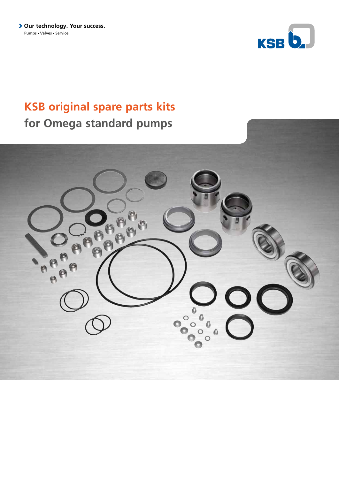**> Our technology. Your success.** Pumps - Valves - Service



## **KSB original spare parts kits for Omega standard pumps**